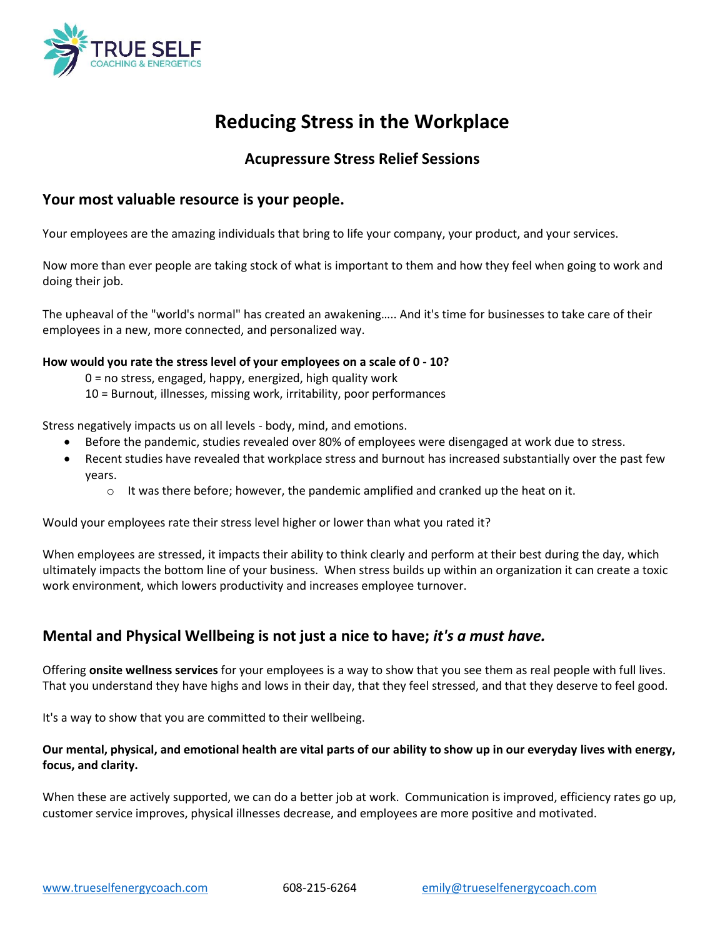

# **Reducing Stress in the Workplace**

# **Acupressure Stress Relief Sessions**

## **Your most valuable resource is your people.**

Your employees are the amazing individuals that bring to life your company, your product, and your services.

Now more than ever people are taking stock of what is important to them and how they feel when going to work and doing their job.

The upheaval of the "world's normal" has created an awakening….. And it's time for businesses to take care of their employees in a new, more connected, and personalized way.

#### **How would you rate the stress level of your employees on a scale of 0 - 10?**

- 0 = no stress, engaged, happy, energized, high quality work
- 10 = Burnout, illnesses, missing work, irritability, poor performances

Stress negatively impacts us on all levels - body, mind, and emotions.

- Before the pandemic, studies revealed over 80% of employees were disengaged at work due to stress.
- Recent studies have revealed that workplace stress and burnout has increased substantially over the past few years.
	- $\circ$  It was there before; however, the pandemic amplified and cranked up the heat on it.

Would your employees rate their stress level higher or lower than what you rated it?

When employees are stressed, it impacts their ability to think clearly and perform at their best during the day, which ultimately impacts the bottom line of your business. When stress builds up within an organization it can create a toxic work environment, which lowers productivity and increases employee turnover.

# **Mental and Physical Wellbeing is not just a nice to have;** *it's a must have.*

Offering **onsite wellness services** for your employees is a way to show that you see them as real people with full lives. That you understand they have highs and lows in their day, that they feel stressed, and that they deserve to feel good.

It's a way to show that you are committed to their wellbeing.

#### **Our mental, physical, and emotional health are vital parts of our ability to show up in our everyday lives with energy, focus, and clarity.**

When these are actively supported, we can do a better job at work. Communication is improved, efficiency rates go up, customer service improves, physical illnesses decrease, and employees are more positive and motivated.